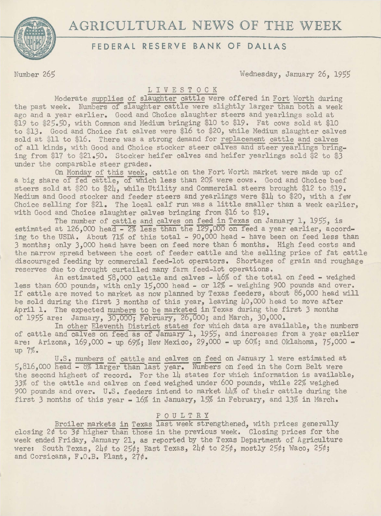# AGRICULTURAL NEWS OF THE WEEK



## **FEDERAL RESERVE BANK OF DALLAS**

Number 265 Wednesday, January 26, *1955* 

### LIVESTOCK

Moderate supplies of slaughter cattle were offered in Fort Worth during the past week. Numbers of slaughter cattle were slightly larger than both a week ago and a year earlier. Good and Choice slaughter steers and yearlings sold at \$19 to *\$25.50,* with Common and Medium bringing \$10 to \$19. Fat cows sold at \$10 to \$13. Good and Choice fat calves were \$16 to \$20, while Medium slaughter calves sold at \$11 to \$16. There was a strong demand for replacement cattle and calves of all kinds, with Good and Choice stocker steer calves and steer yearlings bringing from \$17 to \$21.50. Stocker heifer calves and heifer yearlings sold \$2 to \$3 under the comparable steer grades.

On Monday of this week, cattle on the Fort Worth market were made up of a big share of fed cattle, of which less than 20% were cows. Good and Choice beef steers sold at \$20 to \$24, while Utility and Commercial steers brought \$12 to \$19. Medium and Good stocker and feeder steers and yearlings were \$14 to \$20, with a few Choice selling for \$21. The local calf run was a little smaller than a week earlier, with Good and Choice slaughter calves bringing from \$16 to \$19.

The number of cattle and calves on feed in Texas on January 1, 1955, is estimated at 126,000 head - 2% less than the 129,000 on feed a year earlier, according to the USDA. About 71% of this total - *90,000* head - have been on feed less than 3 months; only 3,000 head have been on feed more than 6 months. High feed costs and the narrow spread between the cost of feeder cattle and the selling price of fat cattle discouraged feeding by commercial feed-lot operators. Shortages of grain and roughage reserves due to drought curtailed many farm feed-lot operations.

An estimated 58,000 cattle and calves - 46% of the total on feed - weighed less than 600 pounds, with only 15,000 head - or 12% - weighing 900 pounds and over. If cattle are moved to market as now planned by Texas feeders, about 86,000 head will be sold during the first 3 months of this year, leaving 40,000 head to move after April 1. The expected numbers to be marketed in Texas during the first 3 months of 1955 are: January, 30,000; February, 26,000; and March, 30,000.

In other Eleventh District states for which data are available, the numbers of cattle and calves on feed as of January 1, 1955, and increases from a year earlier are: Arizona, 169,000 - up 69%; New Mexico, 29,000 - up 60%; and Oklahoma, 75,000 up 7%.

U.S. numbers of cattle and calves on feed on January 1 were estimated at  $5,816,000$  head  $-8\%$  larger than last year. Numbers on feed in the Corn Belt were the second highest of record. For the 14 states for which information is available, 33% of the cattle and calves on feed weighed under 600 pounds, while 22% weighed 900 pounds and over. U.S. feeders intend to market 44% of their cattle during the first 3 months of this year - 16% in January, 15% in February, and 13% in March.

#### POULTRY

Broiler markets in Texas last week strengthened, with prices generally closing  $2\phi$  to  $3\phi$  higher than those in the previous week. Closing prices for the week ended Friday, January 21, as reported by the Texas Department of Agriculture were: South Texas, 24¢ to *25¢;* East Texas, 24¢ to 25¢, mostly 25¢; Waco, 25¢; and Corsicana, F.O.B. Plant, 27¢.